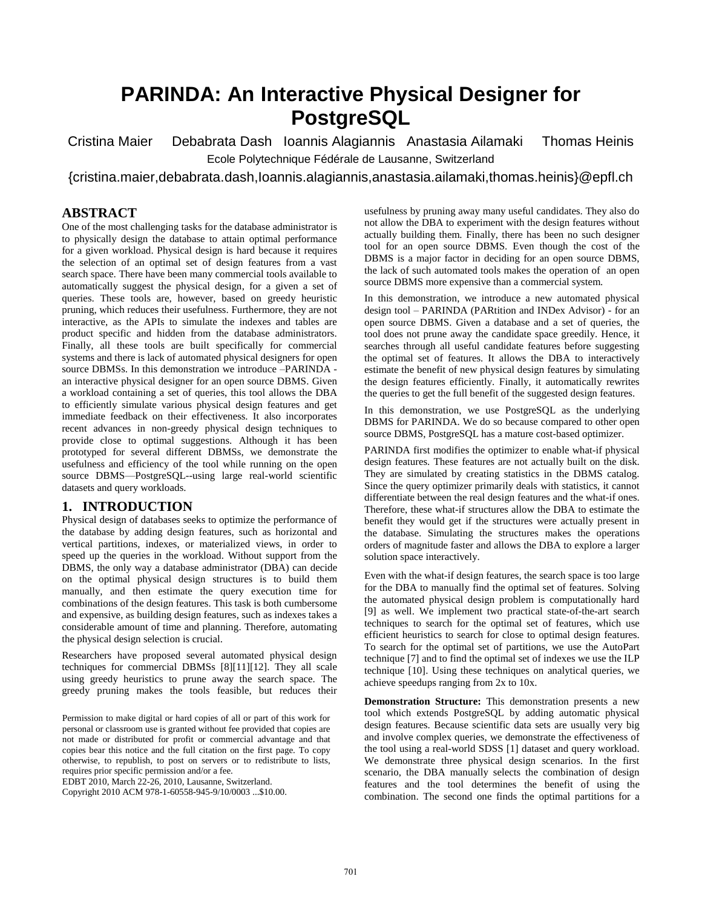# **PARINDA: An Interactive Physical Designer for PostgreSQL**

Cristina Maier Debabrata Dash Ioannis Alagiannis Anastasia Ailamaki Thomas Heinis Ecole Polytechnique Fédérale de Lausanne, Switzerland

{cristina.maier,debabrata.dash,Ioannis.alagiannis,anastasia.ailamaki,thomas.heinis}@epfl.ch

#### **ABSTRACT**

One of the most challenging tasks for the database administrator is to physically design the database to attain optimal performance for a given workload. Physical design is hard because it requires the selection of an optimal set of design features from a vast search space. There have been many commercial tools available to automatically suggest the physical design, for a given a set of queries. These tools are, however, based on greedy heuristic pruning, which reduces their usefulness. Furthermore, they are not interactive, as the APIs to simulate the indexes and tables are product specific and hidden from the database administrators. Finally, all these tools are built specifically for commercial systems and there is lack of automated physical designers for open source DBMSs. In this demonstration we introduce –PARINDA an interactive physical designer for an open source DBMS. Given a workload containing a set of queries, this tool allows the DBA to efficiently simulate various physical design features and get immediate feedback on their effectiveness. It also incorporates recent advances in non-greedy physical design techniques to provide close to optimal suggestions. Although it has been prototyped for several different DBMSs, we demonstrate the usefulness and efficiency of the tool while running on the open source DBMS—PostgreSQL--using large real-world scientific datasets and query workloads.

#### **1. INTRODUCTION**

Physical design of databases seeks to optimize the performance of the database by adding design features, such as horizontal and vertical partitions, indexes, or materialized views, in order to speed up the queries in the workload. Without support from the DBMS, the only way a database administrator (DBA) can decide on the optimal physical design structures is to build them manually, and then estimate the query execution time for combinations of the design features. This task is both cumbersome and expensive, as building design features, such as indexes takes a considerable amount of time and planning. Therefore, automating the physical design selection is crucial.

Researchers have proposed several automated physical design techniques for commercial DBMSs [\[8\]\[11\]](#page-3-0)[\[12\].](#page-3-1) They all scale using greedy heuristics to prune away the search space. The greedy pruning makes the tools feasible, but reduces their

Permission to make digital or hard copies of all or part of this work for personal or classroom use is granted without fee provided that copies are not made or distributed for profit or commercial advantage and that copies bear this notice and the full citation on the first page. To copy otherwise, to republish, to post on servers or to redistribute to lists, requires prior specific permission and/or a fee.

EDBT 2010, March 22-26, 2010, Lausanne, Switzerland.

Copyright 2010 ACM 978-1-60558-945-9/10/0003 ...\$10.00.

usefulness by pruning away many useful candidates. They also do not allow the DBA to experiment with the design features without actually building them. Finally, there has been no such designer tool for an open source DBMS. Even though the cost of the DBMS is a major factor in deciding for an open source DBMS, the lack of such automated tools makes the operation of an open source DBMS more expensive than a commercial system.

In this demonstration, we introduce a new automated physical design tool – PARINDA (PARtition and INDex Advisor) - for an open source DBMS. Given a database and a set of queries, the tool does not prune away the candidate space greedily. Hence, it searches through all useful candidate features before suggesting the optimal set of features. It allows the DBA to interactively estimate the benefit of new physical design features by simulating the design features efficiently. Finally, it automatically rewrites the queries to get the full benefit of the suggested design features.

In this demonstration, we use PostgreSQL as the underlying DBMS for PARINDA. We do so because compared to other open source DBMS, PostgreSQL has a mature cost-based optimizer.

PARINDA first modifies the optimizer to enable what-if physical design features. These features are not actually built on the disk. They are simulated by creating statistics in the DBMS catalog. Since the query optimizer primarily deals with statistics, it cannot differentiate between the real design features and the what-if ones. Therefore, these what-if structures allow the DBA to estimate the benefit they would get if the structures were actually present in the database. Simulating the structures makes the operations orders of magnitude faster and allows the DBA to explore a larger solution space interactively.

Even with the what-if design features, the search space is too large for the DBA to manually find the optimal set of features. Solving the automated physical design problem is computationally hard [\[9\]](#page-3-2) as well. We implement two practical state-of-the-art search techniques to search for the optimal set of features, which use efficient heuristics to search for close to optimal design features. To search for the optimal set of partitions, we use the AutoPart techniqu[e \[7\]](#page-3-3) and to find the optimal set of indexes we use the ILP technique [\[10\].](#page-3-4) Using these techniques on analytical queries, we achieve speedups ranging from 2x to 10x.

**Demonstration Structure:** This demonstration presents a new tool which extends PostgreSQL by adding automatic physical design features. Because scientific data sets are usually very big and involve complex queries, we demonstrate the effectiveness of the tool using a real-world SDSS [\[1\]](#page-3-5) dataset and query workload. We demonstrate three physical design scenarios. In the first scenario, the DBA manually selects the combination of design features and the tool determines the benefit of using the combination. The second one finds the optimal partitions for a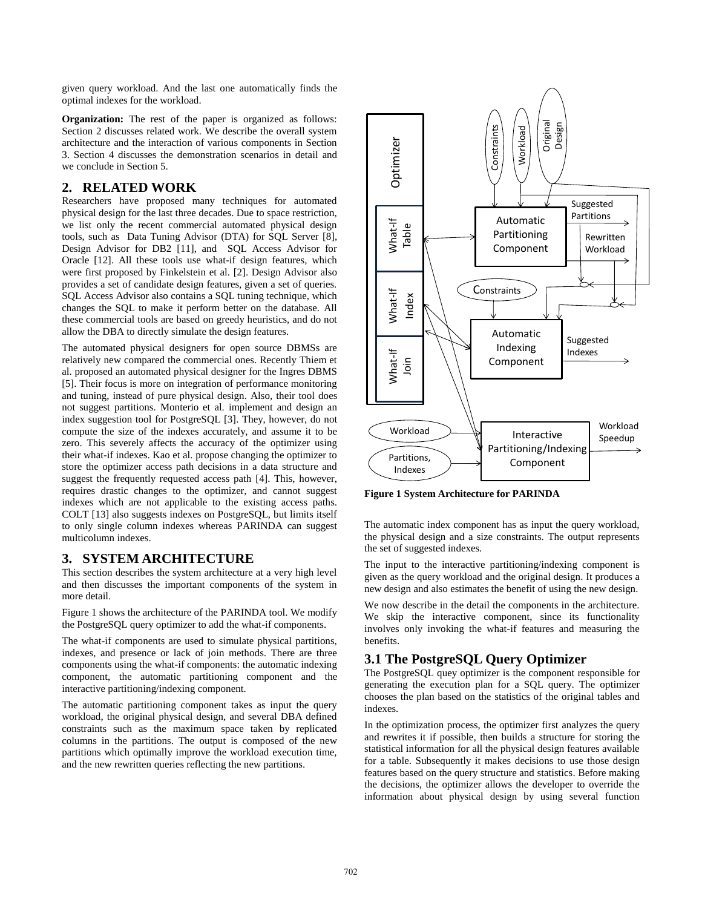given query workload. And the last one automatically finds the optimal indexes for the workload.

**Organization:** The rest of the paper is organized as follows: Section 2 discusses related work. We describe the overall system architecture and the interaction of various components in Section 3. Section 4 discusses the demonstration scenarios in detail and we conclude in Section 5.

## **2. RELATED WORK**

Researchers have proposed many techniques for automated physical design for the last three decades. Due to space restriction, we list only the recent commercial automated physical design tools, such as Data Tuning Advisor (DTA) for SQL Server [\[8\],](#page-3-0) Design Advisor for DB2 [\[11\],](#page-3-6) and SQL Access Advisor for Oracle [\[12\].](#page-3-1) All these tools use what-if design features, which were first proposed by Finkelstein et al. [\[2\].](#page-3-7) Design Advisor also provides a set of candidate design features, given a set of queries. SQL Access Advisor also contains a SQL tuning technique, which changes the SQL to make it perform better on the database. All these commercial tools are based on greedy heuristics, and do not allow the DBA to directly simulate the design features.

The automated physical designers for open source DBMSs are relatively new compared the commercial ones. Recently Thiem et al. proposed an automated physical designer for the Ingres DBMS [\[5\].](#page-3-8) Their focus is more on integration of performance monitoring and tuning, instead of pure physical design. Also, their tool does not suggest partitions. Monterio et al. implement and design an index suggestion tool for PostgreSQL [\[3\].](#page-3-9) They, however, do not compute the size of the indexes accurately, and assume it to be zero. This severely affects the accuracy of the optimizer using their what-if indexes. Kao et al. propose changing the optimizer to store the optimizer access path decisions in a data structure and suggest the frequently requested access path [\[4\].](#page-3-10) This, however, requires drastic changes to the optimizer, and cannot suggest indexes which are not applicable to the existing access paths. COLT [\[13\]](#page-3-11) also suggests indexes on PostgreSQL, but limits itself to only single column indexes whereas PARINDA can suggest multicolumn indexes.

# **3. SYSTEM ARCHITECTURE**

This section describes the system architecture at a very high level and then discusses the important components of the system in more detail.

Figure 1 shows the architecture of the PARINDA tool. We modify the PostgreSQL query optimizer to add the what-if components.

The what-if components are used to simulate physical partitions, indexes, and presence or lack of join methods. There are three components using the what-if components: the automatic indexing component, the automatic partitioning component and the interactive partitioning/indexing component.

The automatic partitioning component takes as input the query workload, the original physical design, and several DBA defined constraints such as the maximum space taken by replicated columns in the partitions. The output is composed of the new partitions which optimally improve the workload execution time, and the new rewritten queries reflecting the new partitions.



**Figure 1 System Architecture for PARINDA**

The automatic index component has as input the query workload, the physical design and a size constraints. The output represents the set of suggested indexes.

The input to the interactive partitioning/indexing component is given as the query workload and the original design. It produces a new design and also estimates the benefit of using the new design.

We now describe in the detail the components in the architecture. We skip the interactive component, since its functionality involves only invoking the what-if features and measuring the benefits.

# **3.1 The PostgreSQL Query Optimizer**

The PostgreSQL quey optimizer is the component responsible for generating the execution plan for a SQL query. The optimizer chooses the plan based on the statistics of the original tables and indexes.

In the optimization process, the optimizer first analyzes the query and rewrites it if possible, then builds a structure for storing the statistical information for all the physical design features available for a table. Subsequently it makes decisions to use those design features based on the query structure and statistics. Before making the decisions, the optimizer allows the developer to override the information about physical design by using several function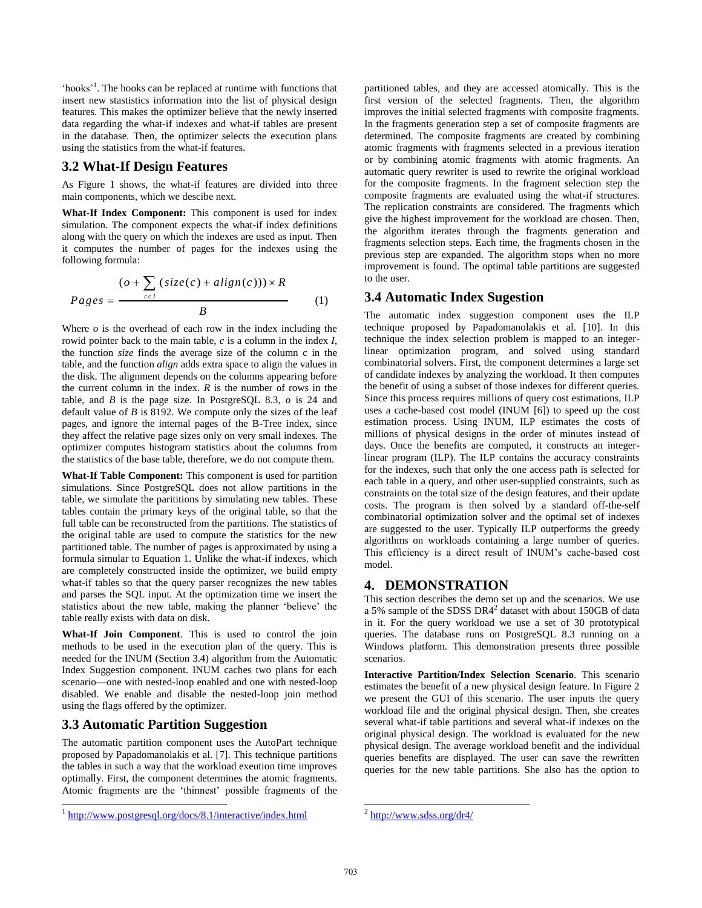'hooks'<sup>1</sup>. The hooks can be replaced at runtime with functions that insert new stastistics information into the list of physical design features. This makes the optimizer believe that the newly inserted data regarding the what-if indexes and what-if tables are present in the database. Then, the optimizer selects the execution plans using the statistics from the what-if features.

#### **3.2 What-If Design Features**

As Figure 1 shows, the what-if features are divided into three main components, which we descibe next.

**What-If Index Component:** This component is used for index simulation. The component expects the what-if index definitions along with the query on which the indexes are used as input. Then it computes the number of pages for the indexes using the following formula:

allowing formula:

\n
$$
(o + \sum_{c \in I} (size(c) + align(c))) \times R
$$
\n
$$
Pages = \frac{P = \frac{P}{C}}{B}
$$
\n(1)

Where  $\sigma$  is the overhead of each row in the index including the rowid pointer back to the main table, *c* is a column in the index *I*, the function *size* finds the average size of the column c in the table, and the function *align* adds extra space to align the values in the disk. The alignment depends on the columns appearing before the current column in the index. *R* is the number of rows in the table, and *B* is the page size. In PostgreSQL 8.3, *o* is 24 and default value of *B* is 8192. We compute only the sizes of the leaf pages, and ignore the internal pages of the B-Tree index, since they affect the relative page sizes only on very small indexes. The optimizer computes histogram statistics about the columns from the statistics of the base table, therefore, we do not compute them.

**What-If Table Component:** This component is used for partition simulations. Since PostgreSQL does not allow partitions in the table, we simulate the parititions by simulating new tables. These tables contain the primary keys of the original table, so that the full table can be reconstructed from the partitions. The statistics of the original table are used to compute the statistics for the new partitioned table. The number of pages is approximated by using a formula simular to Equation 1. Unlike the what-if indexes, which are completely constructed inside the optimizer, we build empty what-if tables so that the query parser recognizes the new tables and parses the SQL input. At the optimization time we insert the statistics about the new table, making the planner 'believe' the table really exists with data on disk.

**What-If Join Component**. This is used to control the join methods to be used in the execution plan of the query. This is needed for the INUM (Section 3.4) algorithm from the Automatic Index Suggestion component. INUM caches two plans for each scenario—one with nested-loop enabled and one with nested-loop disabled. We enable and disable the nested-loop join method using the flags offered by the optimizer.

# **3.3 Automatic Partition Suggestion**

l

The automatic partition component uses the AutoPart technique proposed by Papadomanolakis et al. [\[7\].](#page-3-3) This technique partitions the tables in such a way that the workload exeution time improves optimally. First, the component determines the atomic fragments. Atomic fragments are the 'thinnest' possible fragments of the

partitioned tables, and they are accessed atomically. This is the first version of the selected fragments. Then, the algorithm improves the initial selected fragments with composite fragments. In the fragments generation step a set of composite fragments are determined. The composite fragments are created by combining atomic fragments with fragments selected in a previous iteration or by combining atomic fragments with atomic fragments. An automatic query rewriter is used to rewrite the original workload for the composite fragments. In the fragment selection step the composite fragments are evaluated using the what-if structures. The replication constraints are considered. The fragments which give the highest improvement for the workload are chosen. Then, the algorithm iterates through the fragments generation and fragments selection steps. Each time, the fragments chosen in the previous step are expanded. The algorithm stops when no more improvement is found. The optimal table partitions are suggested to the user.

#### **3.4 Automatic Index Sugestion**

The automatic index suggestion component uses the ILP technique proposed by Papadomanolakis et al. [\[10\].](#page-3-4) In this technique the index selection problem is mapped to an integerlinear optimization program, and solved using standard combinatorial solvers. First, the component determines a large set of candidate indexes by analyzing the workload. It then computes the benefit of using a subset of those indexes for different queries. Since this process requires millions of query cost estimations, ILP uses a cache-based cost model (INUM [\[6\]\)](#page-3-12) to speed up the cost estimation process. Using INUM, ILP estimates the costs of millions of physical designs in the order of minutes instead of days. Once the benefits are computed, it constructs an integerlinear program (ILP). The ILP contains the accuracy constraints for the indexes, such that only the one access path is selected for each table in a query, and other user-supplied constraints, such as constraints on the total size of the design features, and their update costs. The program is then solved by a standard off-the-self combinatorial optimization solver and the optimal set of indexes are suggested to the user. Typically ILP outperforms the greedy algorithms on workloads containing a large number of queries. This efficiency is a direct result of INUM's cache-based cost model.

## **4. DEMONSTRATION**

This section describes the demo set up and the scenarios. We use a 5% sample of the SDSS DR4<sup>2</sup> dataset with about 150GB of data in it. For the query workload we use a set of 30 prototypical queries. The database runs on PostgreSQL 8.3 running on a Windows platform. This demonstration presents three possible scenarios.

**Interactive Partition/Index Selection Scenario**. This scenario estimates the benefit of a new physical design feature. In Figure 2 we present the GUI of this scenario. The user inputs the query workload file and the original physical design. Then, she creates several what-if table partitions and several what-if indexes on the original physical design. The workload is evaluated for the new physical design. The average workload benefit and the individual queries benefits are displayed. The user can save the rewritten queries for the new table partitions. She also has the option to

<sup>&</sup>lt;sup>1</sup> <http://www.postgresql.org/docs/8.1/interactive/index.html>

 $^{2}$  <http://www.sdss.org/dr4/>